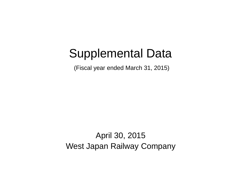# Supplemental Data

(Fiscal year ended March 31, 2015)

April 30, 2015 West Japan Railway Company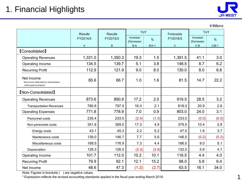

¥Billions

|                                                                                 | <b>Results</b> | <b>Results</b> | YoY<br>Increase/<br>$\%$<br>(Decrease) |         | Forecasts   | YoY                     |         |
|---------------------------------------------------------------------------------|----------------|----------------|----------------------------------------|---------|-------------|-------------------------|---------|
|                                                                                 | FY2014/3       | FY2015/3       |                                        |         | FY2016/3    | Increase/<br>(Decrease) | %       |
|                                                                                 | A              | B              | $B-A$                                  | $B/A-1$ | $\mathbf C$ | $C-B$                   | $C/B-1$ |
| <b>【Consolidated】</b>                                                           |                |                |                                        |         |             |                         |         |
| <b>Operating Revenues</b>                                                       | 1,331.0        | 1,350.3        | 19.3                                   | 1.5     | 1,391.5     | 41.1                    | 3.0     |
| Operating Income                                                                | 134.5          | 139.7          | 5.1                                    | 3.8     | 148.5       | 8.7                     | 6.2     |
| <b>Recurring Profit</b>                                                         | 112.9          | 121.9          | 9.0                                    | 8.0     | 130.0       | 8.0                     | 6.6     |
| Net Income<br>Net income attributable to shareholders<br>of the parent company* | 65.6           | 66.7           | 1.0                                    | 1.6     | 81.5        | 14.7                    | 22.2    |
| <b>[Non-Consolidated]</b>                                                       |                |                |                                        |         |             |                         |         |
| <b>Operating Revenues</b>                                                       | 873.6          | 890.9          | 17.2                                   | 2.0     | 919.5       | 28.5                    | 3.2     |
| <b>Transportation Revenues</b>                                                  | 780.6          | 797.0          | 16.3                                   | 2.1     | 818.0       | 20.9                    | 2.6     |
| <b>Operating Expenses</b>                                                       | 771.8          | 778.9          | 7.0                                    | 0.9     | 803.0       | 24.0                    | 3.1     |
| Personnel costs                                                                 | 235.4          | 233.0          | (2.4)                                  | (1.0)   | 233.0       | (0.0)                   | (0.0)   |
| Non personnel costs                                                             | 351.6          | 369.0          | 17.3                                   | 4.9     | 379.5       | 10.4                    | 2.8     |
| Energy costs                                                                    | 43.1           | 45.3           | 2.2                                    | 5.2     | 47.0        | 1.6                     | 3.7     |
| Maintenance costs                                                               | 139.0          | 146.7          | 7.7                                    | 5.6     | 146.5       | (0.2)                   | (0.2)   |
| Miscellaneous costs                                                             | 169.5          | 176.9          | 7.3                                    | 4.4     | 186.0       | 9.0                     | 5.1     |
| Depreciation                                                                    | 129.3          | 126.0          | (3.3)                                  | (2.6)   | 132.0       | 5.9                     | 4.7     |
| Operating Income                                                                | 101.7          | 112.0          | 10.2                                   | 10.1    | 116.5       | 4.4                     | 4.0     |
| <b>Recurring Profit</b>                                                         | 79.9           | 92.1           | 12.1                                   | 15.2    | 98.0        | 5.8                     | 6.4     |
| Net Income                                                                      | 48.6           | 47.3           | (1.2)                                  | (2.7)   | 63.5        | 16.1                    | 34.0    |

Note: Figures in brackets () are negative values.

\* Expression reflects the revised accounting standards applied in the fiscal year ending March 2016.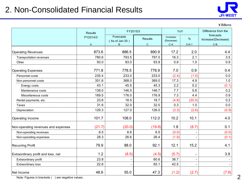### 2. Non-Consolidated Financial Results



¥Billions

|                                     | <b>Results</b> |                                  | FY2015/3                       |                                  |                          | Difference from the                       |
|-------------------------------------|----------------|----------------------------------|--------------------------------|----------------------------------|--------------------------|-------------------------------------------|
|                                     | FY2014/3<br>A  | Forecasts<br>(As of Jan 30)<br>B | <b>Results</b><br>$\mathsf{C}$ | Increase/<br>(Decrease)<br>$C-A$ | %<br>$C/A-1$             | forecasts<br>Increase/(Decrease)<br>$C-B$ |
|                                     |                |                                  |                                |                                  |                          |                                           |
| <b>Operating Revenues</b>           | 873.6          | 886.5                            | 890.9                          | 17.2                             | 2.0                      | 4.4                                       |
| Transportation revenues             | 780.6          | 793.5                            | 797.0                          | 16.3                             | 2.1                      | 3.5                                       |
| Other                               | 93.0           | 93.0                             | 93.9                           | 0.9                              | 1.0                      | 0.9                                       |
| <b>Operating Expenses</b>           | 771.8          | 778.5                            | 778.9                          | 7.0                              | 0.9                      | 0.4                                       |
| Personnel costs                     | 235.4          | 233.0                            | 233.0                          | (2.4)                            | (1.0)                    | 0.0                                       |
| Non personnel costs                 | 351.6          | 368.0                            | 369.0                          | 17.3                             | 4.9                      | 1.0                                       |
| Energy costs                        | 43.1           | 45.5                             | 45.3                           | 2.2                              | 5.2                      | (0.1)                                     |
| Maintenance costs                   | 139.0          | 146.5                            | 146.7                          | 7.7                              | 5.6                      | 0.2                                       |
| Miscellaneous costs                 | 169.5          | 176.0                            | 176.9                          | 7.3                              | 4.4                      | 0.9                                       |
| Rental payments, etc.               | 23.6           | 18.5                             | 18.7                           | (4.8)                            | (20.5)                   | 0.2                                       |
| <b>Taxes</b>                        | 31.6           | 32.0                             | 32.0                           | 0.3                              | 1.0                      | 0.0                                       |
| Depreciation                        | 129.3          | 127.0                            | 126.0                          | (3.3)                            | (2.6)                    | (0.9)                                     |
| Operating Income                    | 101.7          | 108.0                            | 112.0                          | 10.2                             | 10.1                     | 4.0                                       |
| Non-operating revenues and expenses | (21.7)         | (20.0)                           | (19.8)                         | 1.8                              | (8.7)                    | 0.1                                       |
| Non-operating revenues              | 6.5            | 6.6                              | 6.5                            | (0.0)                            |                          | (0.0)                                     |
| Non-operating expenses              | 28.3           | 26.6                             | 26.4                           | (1.9)                            |                          | (0.1)                                     |
| <b>Recurring Profit</b>             | 79.9           | 88.0                             | 92.1                           | 12.1                             | 15.2                     | 4.1                                       |
| Extraordinary profit and loss, net  | 1.2            | (8.5)                            | (4.5)                          | (5.7)                            | $\overline{\phantom{0}}$ | 3.9                                       |
| Extraordinary profit                | 23.8           | $\overline{\phantom{a}}$         | 60.6                           | 36.7                             | $\overline{\phantom{a}}$ |                                           |
| Extraordinary loss                  | 22.6           |                                  | 65.1                           | 42.5                             |                          |                                           |
| Net Income                          | 48.6           | 55.0                             | 47.3                           | (1.2)                            | (2.7)                    | (7.6)                                     |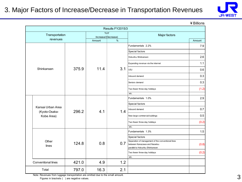### 3. Major Factors of Increase/Decrease in Transportation Revenues



¥Billions

|                                    |       |                               | Results FY2015/3 |                                                                                                                       |        |
|------------------------------------|-------|-------------------------------|------------------|-----------------------------------------------------------------------------------------------------------------------|--------|
| Transportation                     |       | YoY                           |                  | Major factors                                                                                                         |        |
| revenues                           |       | Increase/(Decrease)<br>Amount | %                |                                                                                                                       | Amount |
|                                    |       |                               |                  | Fundamentals 2.2%                                                                                                     | 7.9    |
|                                    |       |                               |                  | Special factors                                                                                                       |        |
|                                    |       |                               |                  | Hokuriku Shinkansen                                                                                                   | 2.6    |
|                                    |       |                               |                  | Expanding revenue via the internet                                                                                    | 1.1    |
| Shinkansen                         | 375.9 | 11.4                          | 3.1              | USJ                                                                                                                   | 0.6    |
|                                    |       |                               | Inbound demand   | 0.3                                                                                                                   |        |
|                                    |       |                               |                  | Seniors demand                                                                                                        | 0.3    |
|                                    |       |                               |                  | Two fewer three-day holidays                                                                                          | (1.2)  |
|                                    |       |                               |                  | etc.                                                                                                                  |        |
|                                    |       |                               |                  | Fundamentals 1.0%                                                                                                     | 2.9    |
|                                    |       |                               |                  | Special factors                                                                                                       |        |
| Kansai Urban Area<br>(Kyoto-Osaka- | 296.2 | 4.1                           | 1.4              | Inbound demand                                                                                                        | 0.7    |
| Kobe Area)                         |       |                               |                  | New large commercial buildings                                                                                        | 0.5    |
|                                    |       |                               |                  | Two fewer three-day holidays                                                                                          | (0.2)  |
|                                    |       |                               |                  | etc.                                                                                                                  |        |
|                                    |       |                               |                  | Fundamentals 1.3%                                                                                                     | 1.5    |
|                                    |       |                               |                  | Special factors                                                                                                       |        |
| Other<br>lines                     | 124.8 | 0.8                           | 0.7              | Separation of management of the conventional lines<br>between Kanazawa and Naoetsu<br>parallel to Hokuriku Shinkansen | (0.8)  |
|                                    |       |                               |                  | Two fewer three-day holidays                                                                                          | (0.2)  |
|                                    |       |                               |                  | etc.                                                                                                                  |        |
| Conventional lines                 | 421.0 | 4.9                           | 1.2              |                                                                                                                       |        |
| Total                              | 797.0 | 16.3                          | 2.1              |                                                                                                                       |        |

Note: Revenues from luggage transportation are omitted due to the small amount.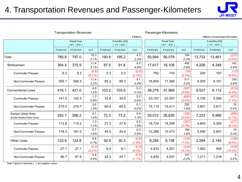### 4. Transportation Revenues and Passenger-Kilometers



| <b>Transportation Revenues</b>               |          |                                      |                    |          |                                 |                    |          | Passenger-Kilometers                 |                    |          |                                  |                    |
|----------------------------------------------|----------|--------------------------------------|--------------------|----------|---------------------------------|--------------------|----------|--------------------------------------|--------------------|----------|----------------------------------|--------------------|
|                                              |          |                                      |                    |          |                                 | ¥ Billions         |          |                                      |                    |          | Millions of passenger-kilometers |                    |
|                                              |          | <b>Fiscal Year</b><br>$(4/1 - 3/31)$ |                    |          | 3 months (4Q)<br>$(1/1 - 3/31)$ |                    |          | <b>Fiscal Year</b><br>$(4/1 - 3/31)$ |                    |          | 3 months (4Q)<br>$(1/1 - 3/31)$  |                    |
|                                              | FY2014/3 | FY2015/3                             | YoY                | FY2014/3 | FY2015/3                        | YoY                | FY2014/3 | FY2015/3                             | YoY                | FY2014/3 | FY2015/3                         | YoY                |
| Total                                        | 780.6    | 797.0                                | 16.3<br>2.1%       | 190.8    | 195.2                           | 4.3<br>2.3%        | 55,894   | 56,078                               | 184<br>0.3%        | 13,733   | 13,461                           | (272)<br>$(2.0\%)$ |
| Shinkansen                                   | 364.4    | 375.9                                | 11.4<br>3.1%       | 87.5     | 91.6                            | 4.0<br>4.6%        | 17,617   | 18,109                               | 492<br>2.8%        | 4,206    | 4,348                            | 142<br>3.4%        |
| <b>Commuter Passes</b>                       | 9.3      | 9.3                                  | (0.0)<br>(0.2%     | 2.3      | 2.2                             | (0.0)<br>(2.4%)    | 762      | 743                                  | (19)<br>(2.5%)     | 200      | 187                              | (13)<br>(6.8%)     |
| <b>Non-Commuter Passes</b>                   | 355.1    | 366.5                                | 11.4<br>3.2%       | 85.2     | 89.3                            | 4.1<br>4.8%        | 16,854   | 17,366                               | 511<br>3.0%        | 4,005    | 4,161                            | 156<br>3.9%        |
| <b>Conventional Lines</b>                    | 416.1    | 421.0                                | 4.9<br>1.2%        | 103.2    | 103.5                           | 0.3<br>0.3%        | 38,276   | 37,969                               | (307)<br>(0.8%)    | 9,527    | 9,112                            | (415)<br>$(4.4\%)$ |
| <b>Commuter Passes</b>                       | 141.0    | 142.3                                | 1.2<br>0.9%        | 33.8     | 34.0                            | 0.2<br>0.6%        | 23,157   | 22,557                               | (600)<br>(2.6%)    | 5,726    | 5,295                            | (431)<br>(7.5%)    |
| <b>Non-Commuter Passes</b>                   | 275.0    | 278.7                                | 3.6<br>1.3%        | 69.4     | 69.5                            | 0.1<br>0.2%        | 15,119   | 15,411                               | 292<br>1.9%        | 3,801    | 3,817                            | 16<br>0.4%         |
| Kansai Urban Area<br>(Kyoto-Osaka-Kobe Area) | 292.1    | 296.2                                | 4.1<br>1.4%        | 72.3     | 73.2                            | 0.9<br>1.3%        | 29,012   | 28,830                               | (182)<br>(0.6%)    | 7,233    | 6,966                            | (266)<br>(3.7%)    |
| <b>Commuter Passes</b>                       | 113.8    | 115.2                                | 1.3<br>1.2%        | 27.3     | 27.8                            | 0.5<br>1.9%        | 18,724   | 18,356                               | (367)<br>$(2.0\%)$ | 4,643    | 4,365                            | (277)<br>$(6.0\%)$ |
| Non-Commuter Passes                          | 178.3    | 181.0                                | 2.7<br>1.6%        | 45.0     | 45.4                            | 0.3<br>0.9%        | 10,288   | 10,473                               | 184<br>1.8%        | 2,590    | 2,601                            | 10<br>0.4%         |
| <b>Other Lines</b>                           | 123.9    | 124.8                                | 0.8<br>0.7%        | 30.9     | 30.3                            | (0.5)<br>(1.9%)    | 9,264    | 9,138                                | (125)<br>$(1.4\%)$ | 2,294    | 2,145                            | (148)<br>(6.5%)    |
| <b>Commuter Passes</b>                       | 27.1     | 27.1                                 | (0.0)<br>$(0.2\%)$ | 6.5      | 6.1                             | (0.3)<br>$(5.0\%)$ | 4,433    | 4,201                                | (232)<br>(5.2%)    | 1,083    | 929                              | (154)<br>(14.2%)   |
| Non-Commuter Passes                          | 96.7     | 97.6                                 | 0.9<br>0.9%        | 24.3     | 24.1                            | (0.2)<br>$(1.1\%)$ | 4,830    | 4,937                                | 107<br>2.2%        | 1,211    | 1,216                            | 5<br>0.5%          |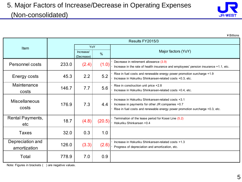

|                                  |                  |                         |        | ¥ Billions                                                                                                                                                                             |  |  |  |  |
|----------------------------------|------------------|-------------------------|--------|----------------------------------------------------------------------------------------------------------------------------------------------------------------------------------------|--|--|--|--|
|                                  | Results FY2015/3 |                         |        |                                                                                                                                                                                        |  |  |  |  |
| Item                             |                  | <b>YoY</b>              |        |                                                                                                                                                                                        |  |  |  |  |
|                                  |                  | Increase/<br>(Decrease) | $\%$   | Major factors (YoY)                                                                                                                                                                    |  |  |  |  |
| <b>Personnel costs</b>           | 233.0            | (2.4)                   | (1.0)  | Decrease in retirement allowance (3.9)<br>Increase in the rate of health insurance and employees' pension insurance +1.1, etc.                                                         |  |  |  |  |
| Energy costs                     | 45.3             | 2.2                     | 5.2    | Rise in fuel costs and renewable energy power promotion surcharge +1.9<br>Increase in Hokuriku Shinkansen-related costs +0.3, etc.                                                     |  |  |  |  |
| Maintenance<br>costs             | 146.7            | 7.7                     | 5.6    | Rise in construction unit price +2.8<br>Increase in Hokuriku Shinkansen-related costs +0.4, etc.                                                                                       |  |  |  |  |
| <b>Miscellaneous</b><br>costs    | 176.9            | 7.3                     | 4.4    | Increase in Hokuriku Shinkansen-related costs +3.1<br>Increase in payments for other JR companies +0.7<br>Rise in fuel costs and renewable energy power promotion surcharge +0.3, etc. |  |  |  |  |
| <b>Rental Payments,</b><br>etc   | 18.7             | (4.8)                   | (20.5) | Termination of the lease period for Kosei Line (5.2)<br>Hokuriku Shinkansen +0.4                                                                                                       |  |  |  |  |
| <b>Taxes</b>                     | 32.0             | 0.3                     | 1.0    |                                                                                                                                                                                        |  |  |  |  |
| Depreciation and<br>amortization | 126.0            | (3.3)                   | (2.6)  | Increase in Hokuriku Shinkansen-related costs +1.3<br>Progress of depreciation and amortization, etc.                                                                                  |  |  |  |  |
| Total                            | 778.9            | 7.0                     | 0.9    |                                                                                                                                                                                        |  |  |  |  |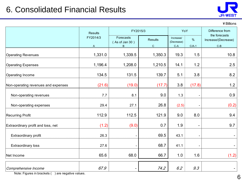### 6. Consolidated Financial Results



¥Billions

|                                     | <b>Results</b> | FY2015/3                         | YoY                           |                                  | Difference from<br>the forecasts |                              |
|-------------------------------------|----------------|----------------------------------|-------------------------------|----------------------------------|----------------------------------|------------------------------|
|                                     | FY2014/3<br>A  | Forecasts<br>(As of Jan 30)<br>B | <b>Results</b><br>$\mathbf C$ | Increase/<br>(Decrease)<br>$C-A$ | %<br>$C/A-1$                     | Increase/(Decrease)<br>$C-B$ |
| <b>Operating Revenues</b>           | 1,331.0        | 1,339.5                          | 1,350.3                       | 19.3                             | 1.5                              | 10.8                         |
| <b>Operating Expenses</b>           | 1,196.4        | 1,208.0                          | 1,210.5                       | 14.1                             | 1.2                              | 2.5                          |
| Operating Income                    | 134.5          | 131.5                            | 139.7                         | 5.1                              | 3.8                              | 8.2                          |
| Non-operating revenues and expenses | (21.6)         | (19.0)                           | (17.7)                        | 3.8                              | (17.8)                           | 1.2                          |
| Non-operating revenues              | 7.7            | 8.1                              | 9.0                           | 1.3                              |                                  | 0.9                          |
| Non-operating expenses              | 29.4           | 27.1                             | 26.8                          | (2.5)                            |                                  | (0.2)                        |
| <b>Recurring Profit</b>             | 112.9          | 112.5                            | 121.9                         | 9.0                              | 8.0                              | 9.4                          |
| Extraordinary profit and loss, net  | (1.2)          | (9.0)                            | 0.7                           | 1.9                              | $\qquad \qquad$                  | 9.7                          |
| Extraordinary profit                | 26.3           |                                  | 69.5                          | 43.1                             |                                  | $\blacksquare$               |
| <b>Extraordinary loss</b>           | 27.6           |                                  | 68.7                          | 41.1                             |                                  | $\blacksquare$               |
| Net Income                          | 65.6           | 68.0                             | 66.7                          | 1.0                              | 1.6                              | (1.2)                        |
| Comprehensive Income                | 67.9           |                                  | 74.2                          | 6.2                              | 9.3                              | $\blacksquare$               |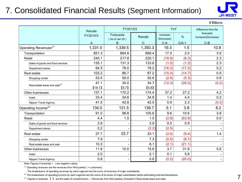### 7. Consolidated Financial Results (Segment Information)



¥Billions

|                                          | <b>Results</b> | FY2015/3                    |                | YoY                     |         | Difference from the              |
|------------------------------------------|----------------|-----------------------------|----------------|-------------------------|---------|----------------------------------|
|                                          | FY2014/3       | Forecasts<br>(As of Jan 30) | <b>Results</b> | Increase/<br>(Decrease) | %       | forecasts<br>Increase/(Decrease) |
|                                          | $\overline{A}$ | B                           | C              | $C-A$                   | $C/A-1$ | $C-B$                            |
| Operating Revenues <sup>*1</sup>         | 1,331.0        | 1,339.5                     | 1,350.3        | 19.3                    | 1.5     | 10.8                             |
| Transportation                           | 851.3          | 864.8                       | 868.4          | 17.0                    | 2.0     | 3.6                              |
| Retail                                   | 240.1          | 217.8                       | 220.1          | (19.9)                  | (8.3)   | 2.3                              |
| Sales of goods and food services         | 135.1          | 131.3                       | 133.6          | (1.5)                   | (1.2)   | 2.3                              |
| Department stores                        | 94.5           | 78.0                        | 78.2           | (16.2)                  | (17.2)  | 0.2                              |
| Real estate                              | 102.2          | 86.7                        | 87.2           | (15.0)                  | (14.7)  | 0.5                              |
| Shopping center                          | 53.5           | 50.0                        | 50.6           | (2.8)                   | (5.3)   | 0.6                              |
| Real estate lease and sale* <sup>3</sup> | 47.1           | 35.0                        | 34.7           | (12.3)                  | (26.2)  | (0.2)                            |
|                                          | [19.1]         | [5.7]                       | [5.8]          |                         |         |                                  |
| Other businesses                         | 137.1          | 170.2                       | 174.4          | 37.2                    | 27.2    | 4.2                              |
| Hotel                                    | 33.4           | 34.6                        | 34.8           | 1.4                     | 4.4     | 0.2                              |
| Nippon Travel Agency                     | 41.5           | 42.8                        | 42.5           | 0.9                     | 2.3     | (0.2)                            |
| Operating Income <sup>*2</sup>           | 134.5          | 131.5                       | 139.7          | 5.1                     | 3.8     | 8.2                              |
| Transportation                           | 91.0           | 96.8                        | 100.6          | 9.6                     | 10.6    | 3.8                              |
| Retail                                   | 4.4            | 1.5                         | 1.5            | (2.8)                   | (63.9)  | 0.0                              |
| Sales of goods and food services         | 3.9            |                             | 3.9            | 0.0                     | 0.9     |                                  |
| Department stores                        | 0.2            |                             | (2.2)          | (2.5)                   |         |                                  |
| Real estate                              | 27.7           | 23.7                        | 25.1           | (2.6)                   | (9.4)   | 1.4                              |
| Shopping center                          | 7.9            |                             | 7.3            | (0.5)                   | (6.7)   |                                  |
| Real estate lease and sale               | 10.3           |                             | 8.1            | (2.1)                   | (21.1)  |                                  |
| Other businesses                         | 11.8           | 10.0                        | 15.6           | 3.7                     | 31.8    | 5.6                              |
| Hotel                                    | 2.0            |                             | 2.1            | 0.1                     | 5.8     |                                  |
| Nippon Travel Agency                     | 0.8            |                             | 0.6            | (0.2)                   | (26.0)  |                                  |

Note: Figures in brackets () are negative values.

 $*$ <sup>1</sup> Operating revenues are the revenues from third parties ( = customers).

The breakdowns of operating revenues by each segment are the sums of revenues of major subsidiaries.

\*<sup>2</sup> The breakdowns of operating income by each segment are the sums of incomes of major subsidiaries before eliminating internal transactions.

\*<sup>3</sup> Figures in brackets 【 】 are the sales of condominiums. (Revenues from third parties) (Included in Real estate lease and sale)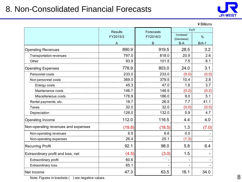### 8. Non-Consolidated Financial Forecasts



¥Billions

|                                     | <b>Results</b> | Forecasts | YoY                 |         |  |
|-------------------------------------|----------------|-----------|---------------------|---------|--|
|                                     | FY2015/3       | FY2016/3  | Increase/           | %       |  |
|                                     | Α              | B         | (Decrease)<br>$B-A$ | $B/A-1$ |  |
| <b>Operating Revenues</b>           | 890.9          | 919.5     | 28.5                | 3.2     |  |
| <b>Transportation revenues</b>      | 797.0          | 818.0     | 20.9                | 2.6     |  |
| Other                               | 93.9           | 101.5     | 7.5                 | 8.1     |  |
| <b>Operating Expenses</b>           | 778.9          | 803.0     | 24.0                | 3.1     |  |
| Personnel costs                     | 233.0          | 233.0     | (0.0)               | (0.0)   |  |
| Non personnel costs                 | 369.0          | 379.5     | 10.4                | 2.8     |  |
| Energy costs                        | 45.3           | 47.0      | 1.6                 | 3.7     |  |
| Maintenance costs                   | 146.7          | 146.5     | (0.2)               | (0.2)   |  |
| Miscellaneous costs                 | 176.9          | 186.0     | 9.0                 | 5.1     |  |
| Rental payments, etc.               | 18.7           | 26.5      | 7.7                 | 41.1    |  |
| Taxes                               | 32.0           | 32.0      | (0.0)               | (0.0)   |  |
| Depreciation                        | 126.0          | 132.0     | 5.9                 | 4.7     |  |
| Operating Income                    | 112.0          | 116.5     | 4.4                 | 4.0     |  |
| Non-operating revenues and expenses | (19.8)         | (18.5)    | 1.3                 | (7.0)   |  |
| Non-operating revenues              | 6.5            | 6.6       | 0.0                 |         |  |
| Non-operating expenses              | 26.4           | 25.1      | (1.3)               |         |  |
| <b>Recurring Profit</b>             | 92.1           | 98.0      | 5.8                 | 6.4     |  |
| Extraordinary profit and loss, net  | (4.5)          | (3.0)     | 1.5                 |         |  |
| Extraordinary profit                | 60.6           |           | ۰                   |         |  |
| <b>Extraordinary loss</b>           | 65.1           |           |                     |         |  |
| Net Income                          | 47.3           | 63.5      | 16.1                | 34.0    |  |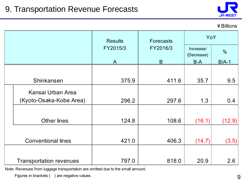

#### ¥Billions

|                                | <b>Results</b> | <b>Forecasts</b> | YoY                     |               |  |
|--------------------------------|----------------|------------------|-------------------------|---------------|--|
|                                | FY2015/3       | FY2016/3         | Increase/<br>(Decrease) | $\frac{0}{0}$ |  |
|                                | $\mathsf{A}$   | B                | $B-A$                   | $B/A-1$       |  |
|                                |                |                  |                         |               |  |
| Shinkansen                     | 375.9          | 411.6            | 35.7                    | 9.5           |  |
| Kansai Urban Area              |                |                  |                         |               |  |
| (Kyoto-Osaka-Kobe Area)        | 296.2          | 297.6            | 1.3                     | 0.4           |  |
| <b>Other lines</b>             | 124.8          | 108.6            | (16.1)                  | (12.9)        |  |
|                                |                |                  |                         |               |  |
| <b>Conventional lines</b>      | 421.0          | 406.3            | (14.7)                  | (3.5)         |  |
| <b>Transportation revenues</b> | 797.0          | 818.0            | 20.9                    | 2.6           |  |

Note: Revenues from luggage transportation are omitted due to the small amount.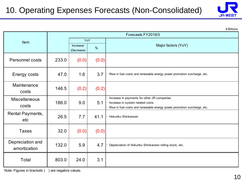# 10. Operating Expenses Forecasts (Non-Consolidated)



|                                  |       |                         |       | ¥ Billions                                                                                                                                                 |
|----------------------------------|-------|-------------------------|-------|------------------------------------------------------------------------------------------------------------------------------------------------------------|
|                                  |       |                         |       | Forecasts FY2016/3                                                                                                                                         |
| Item                             |       | YoY                     |       |                                                                                                                                                            |
|                                  |       | Increase/<br>(Decrease) | $\%$  | Major factors (YoY)                                                                                                                                        |
| Personnel costs                  | 233.0 | (0.0)                   | (0.0) |                                                                                                                                                            |
| <b>Energy costs</b>              | 47.0  | 1.6                     | 3.7   | Rise in fuel costs and renewable energy power promotion surcharge, etc.                                                                                    |
| Maintenance<br>costs             | 146.5 | (0.2)                   | (0.2) |                                                                                                                                                            |
| <b>Miscellaneous</b><br>costs    | 186.0 | 9.0                     | 5.1   | Increase in payments for other JR companies<br>Increase in system related costs<br>Rise in fuel costs and renewable energy power promotion surcharge, etc. |
| Rental Payments,<br>etc          | 26.5  | 7.7                     | 41.1  | Hokuriku Shinkansen                                                                                                                                        |
| <b>Taxes</b>                     | 32.0  | (0.0)                   | (0.0) |                                                                                                                                                            |
| Depreciation and<br>amortization | 132.0 | 5.9                     | 4.7   | Depreciation of Hokuriku Shinkansen rolling stock, etc.                                                                                                    |
| Total                            | 803.0 | 24.0                    | 3.1   |                                                                                                                                                            |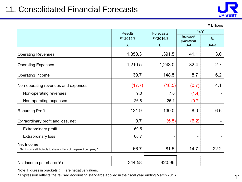

¥Billions

|                                                                               | <b>Results</b> | Forecasts | YoY                 |               |
|-------------------------------------------------------------------------------|----------------|-----------|---------------------|---------------|
|                                                                               | FY2015/3       | FY2016/3  | Increase/           | $\frac{0}{0}$ |
|                                                                               | $\mathsf{A}$   | B         | (Decrease)<br>$B-A$ | $B/A-1$       |
| <b>Operating Revenues</b>                                                     | 1,350.3        | 1,391.5   | 41.1                | 3.0           |
| <b>Operating Expenses</b>                                                     | 1,210.5        | 1,243.0   | 32.4                | 2.7           |
| Operating Income                                                              | 139.7          | 148.5     | 8.7                 | 6.2           |
| Non-operating revenues and expenses                                           | (17.7)         | (18.5)    | (0.7)               | 4.1           |
| Non-operating revenues                                                        | 9.0            | 7.6       | (1.4)               |               |
| Non-operating expenses                                                        | 26.8           | 26.1      | (0.7)               |               |
| <b>Recurring Profit</b>                                                       | 121.9          | 130.0     | 8.0                 | 6.6           |
| Extraordinary profit and loss, net                                            | 0.7            | (5.5)     | (6.2)               |               |
| Extraordinary profit                                                          | 69.5           |           |                     |               |
| <b>Extraordinary loss</b>                                                     | 68.7           |           |                     |               |
| Net Income<br>Net income attributable to shareholders of the parent company * | 66.7           | 81.5      | 14.7                | 22.2          |
| Net income per share( $\angle$ )                                              | 344.58         | 420.96    |                     |               |

Note: Figures in brackets () are negative values.

\* Expression reflects the revised accounting standards applied in the fiscal year ending March 2016.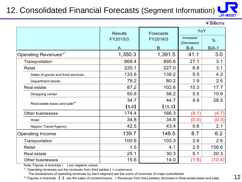# 12. Consolidated Financial Forecasts (Segment Information)

**JR-WEST** 

¥Billions

|                                          | <b>Results</b><br>Forecasts |          | YoY                     |               |
|------------------------------------------|-----------------------------|----------|-------------------------|---------------|
|                                          | FY2015/3                    | FY2016/3 | Increase/<br>(Decrease) | $\frac{0}{0}$ |
|                                          | A                           | B        | $B-A$                   | $B/A-1$       |
| Operating Revenues* <sup>1</sup>         | 1,350.3                     | 1,391.5  | 41.1                    | 3.0           |
| Transportation                           | 868.4                       | 895.6    | 27.1                    | 3.1           |
| Retail                                   | 220.1                       | 227.0    | 6.8                     | 3.1           |
| Sales of goods and food services         | 133.6                       | 139.2    | 5.5                     | 4.2           |
| Department stores                        | 78.2                        | 80.2     | 1.9                     | 2.5           |
| <b>Real estate</b>                       | 87.2                        | 102.6    | 15.3                    | 17.7          |
| Shopping center                          | 50.6                        | 56.2     | 5.5                     | 10.9          |
| Real estate lease and sale <sup>*2</sup> | 34.7                        | 44.7     | 9.9                     | 28.5          |
|                                          | [5.8]                       | $[15.3]$ |                         |               |
| <b>Other businesses</b>                  | 174.4                       | 166.3    | (8.1)                   | (4.7)         |
| Hotel                                    | 34.8                        | 34.8     | (0.0)                   | (0.3)         |
| Nippon Travel Agency                     | 42.5                        | 43.4     | 0.8                     | 2.1           |
| <b>Operating Income</b>                  | 139.7                       | 148.5    | 8.7                     | 6.2           |
| Transportation                           | 100.6                       | 103.3    | 2.6                     | 2.6           |
| Retail                                   | 1.5                         | 4.1      | 2.5                     | 156.6         |
| Real estate                              | 25.1                        | 30.3     | 5.1                     | 20.3          |
| <b>Other businesses</b>                  | 15.6                        | 14.0     | (1.6)                   | (10.4)        |

Note: Figures in brackets () are negative values.

 $*$ <sup>1</sup> Operating revenues are the revenues from third parties ( = customers).

The breakdowns of operating revenues by each segment are the sums of revenues of major subsidiaries.

\*<sup>2</sup> Figures in brackets 【 】 are the sales of condominiums. (Revenues from third parties) (Included in Real estate lease and sale)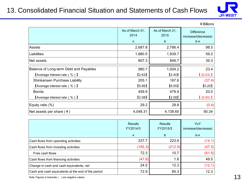### 13. Consolidated Financial Situation and Statements of Cash Flows



¥Billions

|                                                           | As of March 31,<br>2014<br>$\mathsf{A}$ | As of March 31,<br>2015<br>B | <b>Difference</b><br>increase/(decrease)<br>$B-A$ |
|-----------------------------------------------------------|-----------------------------------------|------------------------------|---------------------------------------------------|
| Assets                                                    | 2,687.8                                 | 2,786.4                      | 98.5                                              |
| Liabilities                                               | 1,880.5                                 | 1,939.7                      | 59.2                                              |
| Net assets                                                | 807.3                                   | 846.7                        | 39.3                                              |
| Balance of Long-term Debt and Payables                    | 980.7                                   | 1,004.2                      | 23.4                                              |
| $\blacksquare$ Average interest rate ( % ) $\blacksquare$ | [2.63]                                  | [2.40]                       | $(0.23)$ 1                                        |
| Shinkansen Purchase Liability                             | 205.1                                   | 167.6                        | (37.4)                                            |
| $\blacksquare$ Average interest rate ( % ) $\blacksquare$ | [5.85]                                  | [6.05]                       | [0.20]                                            |
| <b>Bonds</b>                                              | 459.9                                   | 479.9                        | 20.0                                              |
| $\blacksquare$ Average interest rate ( % ) $\blacksquare$ | [2.08]                                  | [2.08]                       | $(0.00)$ ]                                        |
| Equity ratio $(\%)$                                       | 29.2                                    | 28.8                         | (0.4)                                             |
| Net assets per share $(4)$                                | 4,048.31                                | 4,138.65                     | 90.34                                             |

|                                                    | <b>Results</b><br>FY2014/3 | Results<br>FY2015/3 | YoY<br>increase/(decrease) |  |
|----------------------------------------------------|----------------------------|---------------------|----------------------------|--|
|                                                    | $\mathsf{A}$               | B                   | B-A                        |  |
| Cash flows from operating activities               | 237.7                      | 223.6               | (14.1)                     |  |
| Cash flows from investing activities               | (165.3)                    | (212.9)             | (47.5)                     |  |
| Free cash flows                                    | 72.3                       | 10.7                | (61.6)                     |  |
| Cash flows from financing activities               | (47.8)                     | 1.6                 | 49.5                       |  |
| Change in cash and cash equivalents, net           | 24.5                       | 12.3                | (12.1)                     |  |
| Cash and cash equivalents at the end of the period | 72.9                       | 85.3                | 12.3                       |  |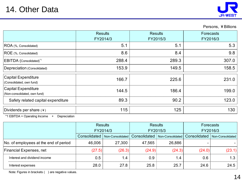### 14. Other Data



Persons, ¥Billions

|                                                     | <b>Results</b><br>FY2014/3 | <b>Results</b><br>FY2015/3 | Forecasts<br>FY2016/3 |  |
|-----------------------------------------------------|----------------------------|----------------------------|-----------------------|--|
| ROA (%, Consolidated)                               | 5.1                        | 5.1                        | 5.3                   |  |
| ROE (%, Consolidated)                               | 8.6                        | 8.4                        | 9.8                   |  |
| EBITDA (Consolidated) <sup>*1</sup>                 | 288.4                      | 289.3                      | 307.0                 |  |
| Depreciation (Consolidated)                         | 153.9                      | 149.5                      | 158.5                 |  |
| Capital Expenditure<br>(Consolidated, own fund)     | 166.7                      | 225.6                      | 231.0                 |  |
| Capital Expenditure<br>(Non-consolidated, own fund) | 144.5                      | 186.4                      | 199.0                 |  |
| Safety related capital expenditure                  | 89.3                       | 90.2                       | 123.0                 |  |
| Dividends per share $(*)$                           | 115                        | 125                        | 130                   |  |

\*1 EBITDA = Operating Income + Depreciation

|                                       | <b>Results</b><br>FY2014/3 |                  | <b>Results</b><br>FY2015/3 |                  | Forecasts    |                  |
|---------------------------------------|----------------------------|------------------|----------------------------|------------------|--------------|------------------|
|                                       |                            |                  |                            |                  | FY2016/3     |                  |
|                                       | Consolidated               | Non-Consolidated | Consolidated               | Non-Consolidated | Consolidated | Non-Consolidated |
| No. of employees at the end of period | 46,006                     | 27,300           | 47,565                     | 26,886           |              |                  |
| <b>Financial Expenses, net</b>        | (27.5)                     | (26.3)           | (24.9)                     | (24.3)           | (24.0)       | (23.1)           |
| Interest and dividend income          | 0.5                        | 1.4              | 0.9                        | 1.4              | 0.6          | 1.3              |
| Interest expenses                     | 28.0                       | 27.8             | 25.8                       | 25.7             | 24.6         | 24.5             |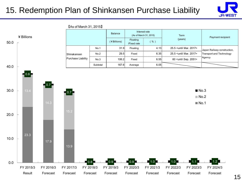### 15. Redemption Plan of Shinkansen Purchase Liability